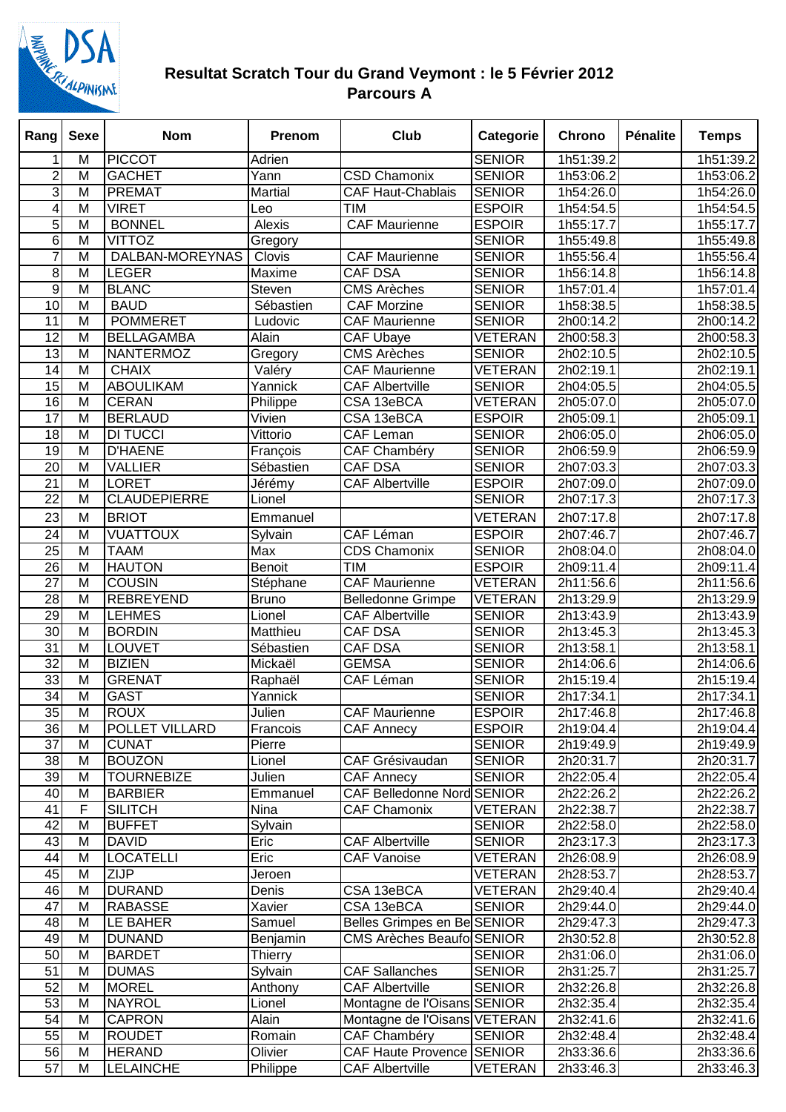

## **Resultat Scratch Tour du Grand Veymont : le 5 Février 2012 Parcours A**

| M<br><b>PICCOT</b><br><b>SENIOR</b><br>Adrien<br>1h51:39.2<br>1h51:39.2<br>1<br>$\overline{2}$<br>M<br><b>SENIOR</b><br><b>GACHET</b><br>Yann<br><b>CSD Chamonix</b><br>1h53:06.2<br>1h53:06.2<br>3<br>M<br><b>PREMAT</b><br>Martial<br><b>CAF Haut-Chablais</b><br><b>SENIOR</b><br>1h54:26.0<br>1h54:26.0<br>$\overline{\mathsf{M}}$<br>4<br><b>ESPOIR</b><br><b>VIRET</b><br><b>TIM</b><br>1h54:54.5<br>1h54:54.5<br>Leo<br>5<br>M<br><b>ESPOIR</b><br><b>BONNEL</b><br>Alexis<br><b>CAF</b> Maurienne<br>1h55:17.7<br>1h55:17.7<br>6<br>M<br><b>VITTOZ</b><br><b>SENIOR</b><br>Gregory<br>1h55:49.8<br>1h55:49.8<br>$\overline{7}$<br>$\overline{M}$<br>DALBAN-MOREYNAS<br><b>SENIOR</b><br><b>CAF Maurienne</b><br>1h55:56.4<br>1h55:56.4<br>Clovis<br>8<br><b>SENIOR</b><br>M<br><b>LEGER</b><br>Maxime<br><b>CAF DSA</b><br>1h56:14.8<br>1h56:14.8<br>9<br>$\overline{M}$<br><b>SENIOR</b><br><b>BLANC</b><br>Steven<br><b>CMS Arèches</b><br>1h57:01.4<br>1h57:01.4<br>$\overline{M}$<br><b>SENIOR</b><br>10<br><b>BAUD</b><br>Sébastien<br><b>CAF Morzine</b><br>1h58:38.5<br>1h58:38.5<br><b>POMMERET</b><br>11<br>M<br><b>SENIOR</b><br>2h00:14.2<br>2h00:14.2<br>Ludovic<br><b>CAF Maurienne</b><br>12<br>M<br><b>BELLAGAMBA</b><br><b>CAF Ubaye</b><br><b>VETERAN</b><br>2h00:58.3<br>2h00:58.3<br>Alain<br>$\overline{13}$<br>$\overline{M}$<br><b>NANTERMOZ</b><br>Gregory<br><b>CMS Arèches</b><br><b>SENIOR</b><br>2h02:10.5<br>2h02:10.5<br>M<br>Valéry<br><b>VETERAN</b><br>14<br><b>CHAIX</b><br><b>CAF Maurienne</b><br>2h02:19.1<br>2h02:19.1<br>$\overline{M}$<br>15<br><b>ABOULIKAM</b><br>Yannick<br><b>SENIOR</b><br><b>CAF Albertville</b><br>2h04:05.5<br>2h04:05.5<br>$\overline{\mathsf{M}}$<br><b>VETERAN</b><br>$\overline{16}$<br><b>CERAN</b><br>Philippe<br>CSA 13eBCA<br>2h05:07.0<br>2h05:07.0<br>$\overline{17}$<br>$\overline{M}$<br><b>BERLAUD</b><br>CSA 13eBCA<br><b>ESPOIR</b><br>Vivien<br>2h05:09.1<br>2h05:09.1<br>$\overline{18}$<br><b>DI TUCCI</b><br><b>CAF Leman</b><br><b>SENIOR</b><br>M<br>Vittorio<br>2h06:05.0<br>2h06:05.0<br>19<br>M<br><b>SENIOR</b><br><b>D'HAENE</b><br><b>CAF Chambéry</b><br>2h06:59.9<br>2h06:59.9<br>François<br>M<br><b>CAF DSA</b><br><b>SENIOR</b><br>20<br><b>VALLIER</b><br>Sébastien<br>2h07:03.3<br>2h07:03.3<br><b>ESPOIR</b><br>21<br>M<br><b>LORET</b><br><b>CAF Albertville</b><br>2h07:09.0<br>2h07:09.0<br>Jérémy<br>22<br>M<br><b>SENIOR</b><br><b>CLAUDEPIERRE</b><br>2h07:17.3<br>2h07:17.3<br>Lionel<br>23<br>M<br><b>BRIOT</b><br><b>VETERAN</b><br>2h07:17.8<br>2h07:17.8<br>Emmanuel<br><b>VUATTOUX</b><br><b>ESPOIR</b><br>24<br>M<br>Sylvain<br>CAF Léman<br>2h07:46.7<br>2h07:46.7<br>25<br><b>SENIOR</b><br>M<br><b>TAAM</b><br>Max<br>2h08:04.0<br>2h08:04.0<br><b>CDS Chamonix</b><br>26<br>M<br><b>HAUTON</b><br><b>TIM</b><br><b>ESPOIR</b><br>2h09:11.4<br>2h09:11.4<br><b>Benoit</b><br>$\overline{27}$<br><b>COUSIN</b><br><b>VETERAN</b><br>M<br><b>CAF Maurienne</b><br>2h11:56.6<br>2h11:56.6<br>Stéphane<br>28<br>M<br><b>REBREYEND</b><br><b>VETERAN</b><br><b>Bruno</b><br><b>Belledonne Grimpe</b><br>2h13:29.9<br>2h13:29.9<br>29<br>M<br><b>SENIOR</b><br><b>LEHMES</b><br><b>CAF Albertville</b><br>2h13:43.9<br>Lionel<br>$\overline{M}$<br>30<br><b>BORDIN</b><br><b>CAF DSA</b><br><b>SENIOR</b><br>Matthieu<br>2h13:45.3<br>2h13:45.3<br>31<br>M<br><b>LOUVET</b><br>CAF DSA<br><b>SENIOR</b><br>2h13:58.1<br>Sébastien<br>$\overline{32}$<br>$\overline{\mathsf{M}}$<br><b>BIZIEN</b><br><b>GEMSA</b><br><b>SENIOR</b><br>Mickaël<br>2h14:06.6<br>2h14:06.6<br>33<br>$\overline{M}$<br><b>SENIOR</b><br><b>GRENAT</b><br>CAF Léman<br>2h15:19.4<br>2h15:19.4<br>Raphaël<br>34<br>M<br><b>GAST</b><br><b>SENIOR</b><br>2h17:34.1<br>2h17:34.1<br>Yannick<br>35<br><b>ROUX</b><br>$\overline{M}$<br><b>ESPOIR</b><br>2h17:46.8<br><b>CAF</b> Maurienne<br>2h17:46.8<br>Julien<br>36<br>POLLET VILLARD<br><b>ESPOIR</b><br>2h19:04.4<br>M<br>Francois<br><b>CAF Annecy</b><br>2h19:04.4<br><b>SENIOR</b><br>37<br>M<br><b>CUNAT</b><br>Pierre<br>2h19:49.9<br>2h19:49.9<br>$\overline{38}$<br>M<br><b>BOUZON</b><br>CAF Grésivaudan<br><b>SENIOR</b><br>2h20:31.7<br>2h20:31.7<br>Lionel<br>39<br>M<br><b>TOURNEBIZE</b><br><b>SENIOR</b><br>Julien<br><b>CAF Annecy</b><br>2h22:05.4<br>2h22:05.4<br><b>CAF Belledonne Nord SENIOR</b><br>40<br>M<br>Emmanuel<br>2h22:26.2<br>2h22:26.2<br><b>BARBIER</b><br>$\overline{F}$<br>41<br><b>SILITCH</b><br><b>CAF Chamonix</b><br><b>VETERAN</b><br>Nina<br>2h22:38.7<br>2h22:38.7<br>42<br>M<br><b>BUFFET</b><br>Sylvain<br><b>SENIOR</b><br>2h22:58.0<br>2h22:58.0<br>43<br>M<br><b>CAF Albertville</b><br><b>SENIOR</b><br><b>DAVID</b><br>Eric<br>2h23:17.3<br>2h23:17.3<br>44<br>M<br><b>LOCATELLI</b><br>Eric<br><b>CAF Vanoise</b><br><b>VETERAN</b><br>2h26:08.9<br>2h26:08.9<br>45<br>M<br><b>ZIJP</b><br><b>VETERAN</b><br>2h28:53.7<br>2h28:53.7<br>Jeroen<br>46<br>M<br><b>DURAND</b><br>CSA 13eBCA<br><b>VETERAN</b><br>2h29:40.4<br>Denis<br>2h29:40.4<br>47<br><b>RABASSE</b><br>CSA 13eBCA<br><b>SENIOR</b><br>M<br>Xavier<br>2h29:44.0<br>2h29:44.0<br>48<br>LE BAHER<br>Samuel<br>Belles Grimpes en Be SENIOR<br>M<br>2h29:47.3<br>2h29:47.3<br>49<br><b>DUNAND</b><br><b>CMS Arèches Beaufo SENIOR</b><br>2h30:52.8<br>M<br>Benjamin<br>2h30:52.8<br>50<br>M<br><b>BARDET</b><br>2h31:06.0<br>2h31:06.0<br><b>Thierry</b><br><b>SENIOR</b><br>51<br><b>CAF Sallanches</b><br>M<br><b>DUMAS</b><br>Sylvain<br><b>SENIOR</b><br>2h31:25.7<br>2h31:25.7<br>52<br>M<br><b>MOREL</b><br><b>CAF Albertville</b><br><b>SENIOR</b><br>2h32:26.8<br>2h32:26.8<br>Anthony<br>53<br>M<br><b>NAYROL</b><br>Montagne de l'Oisans SENIOR<br>Lionel<br>2h32:35.4<br>2h32:35.4<br>54<br>M<br><b>CAPRON</b><br>Montagne de l'Oisans VETERAN<br>Alain<br>2h32:41.6<br>2h32:41.6<br>M<br>CAF Chambéry<br>55<br><b>ROUDET</b><br>Romain<br><b>SENIOR</b><br>2h32:48.4<br>2h32:48.4<br>56<br>M<br><b>HERAND</b><br>CAF Haute Provence SENIOR<br>2h33:36.6<br>2h33:36.6<br>Olivier<br>57<br>M<br><b>LELAINCHE</b><br><b>CAF Albertville</b><br><b>VETERAN</b><br>Philippe<br>2h33:46.3<br>2h33:46.3 | Rang | <b>Sexe</b> | <b>Nom</b> | <b>Prenom</b> | <b>Club</b> | Categorie | Chrono | Pénalite | <b>Temps</b> |
|---------------------------------------------------------------------------------------------------------------------------------------------------------------------------------------------------------------------------------------------------------------------------------------------------------------------------------------------------------------------------------------------------------------------------------------------------------------------------------------------------------------------------------------------------------------------------------------------------------------------------------------------------------------------------------------------------------------------------------------------------------------------------------------------------------------------------------------------------------------------------------------------------------------------------------------------------------------------------------------------------------------------------------------------------------------------------------------------------------------------------------------------------------------------------------------------------------------------------------------------------------------------------------------------------------------------------------------------------------------------------------------------------------------------------------------------------------------------------------------------------------------------------------------------------------------------------------------------------------------------------------------------------------------------------------------------------------------------------------------------------------------------------------------------------------------------------------------------------------------------------------------------------------------------------------------------------------------------------------------------------------------------------------------------------------------------------------------------------------------------------------------------------------------------------------------------------------------------------------------------------------------------------------------------------------------------------------------------------------------------------------------------------------------------------------------------------------------------------------------------------------------------------------------------------------------------------------------------------------------------------------------------------------------------------------------------------------------------------------------------------------------------------------------------------------------------------------------------------------------------------------------------------------------------------------------------------------------------------------------------------------------------------------------------------------------------------------------------------------------------------------------------------------------------------------------------------------------------------------------------------------------------------------------------------------------------------------------------------------------------------------------------------------------------------------------------------------------------------------------------------------------------------------------------------------------------------------------------------------------------------------------------------------------------------------------------------------------------------------------------------------------------------------------------------------------------------------------------------------------------------------------------------------------------------------------------------------------------------------------------------------------------------------------------------------------------------------------------------------------------------------------------------------------------------------------------------------------------------------------------------------------------------------------------------------------------------------------------------------------------------------------------------------------------------------------------------------------------------------------------------------------------------------------------------------------------------------------------------------------------------------------------------------------------------------------------------------------------------------------------------------------------------------------------------------------------------------------------------------------------------------------------------------------------------------------------------------------------------------------------------------------------------------------------------------------------------------------------------------------------------------------------------------------------------------------------------------------------------------------------------------------------------------------------------------------------------------------------------------------------------------------------------------------------------------------------------------------------------------------------------------------------------------------------------------------------------------------------------------------------------------------------------------------------------------------------------------------------------------------------------------------------------------------------------------------------------------------------------------------------------------------------------------------------------------------------------------------------------------------------------------------------------------------------------------------------------------------------------------------------------------------------------------------------------|------|-------------|------------|---------------|-------------|-----------|--------|----------|--------------|
|                                                                                                                                                                                                                                                                                                                                                                                                                                                                                                                                                                                                                                                                                                                                                                                                                                                                                                                                                                                                                                                                                                                                                                                                                                                                                                                                                                                                                                                                                                                                                                                                                                                                                                                                                                                                                                                                                                                                                                                                                                                                                                                                                                                                                                                                                                                                                                                                                                                                                                                                                                                                                                                                                                                                                                                                                                                                                                                                                                                                                                                                                                                                                                                                                                                                                                                                                                                                                                                                                                                                                                                                                                                                                                                                                                                                                                                                                                                                                                                                                                                                                                                                                                                                                                                                                                                                                                                                                                                                                                                                                                                                                                                                                                                                                                                                                                                                                                                                                                                                                                                                                                                                                                                                                                                                                                                                                                                                                                                                                                                                                                                                                                                                                                                                                                                                                                                                                                                                                                                                                                                                                                                                                                           |      |             |            |               |             |           |        |          |              |
|                                                                                                                                                                                                                                                                                                                                                                                                                                                                                                                                                                                                                                                                                                                                                                                                                                                                                                                                                                                                                                                                                                                                                                                                                                                                                                                                                                                                                                                                                                                                                                                                                                                                                                                                                                                                                                                                                                                                                                                                                                                                                                                                                                                                                                                                                                                                                                                                                                                                                                                                                                                                                                                                                                                                                                                                                                                                                                                                                                                                                                                                                                                                                                                                                                                                                                                                                                                                                                                                                                                                                                                                                                                                                                                                                                                                                                                                                                                                                                                                                                                                                                                                                                                                                                                                                                                                                                                                                                                                                                                                                                                                                                                                                                                                                                                                                                                                                                                                                                                                                                                                                                                                                                                                                                                                                                                                                                                                                                                                                                                                                                                                                                                                                                                                                                                                                                                                                                                                                                                                                                                                                                                                                                           |      |             |            |               |             |           |        |          |              |
|                                                                                                                                                                                                                                                                                                                                                                                                                                                                                                                                                                                                                                                                                                                                                                                                                                                                                                                                                                                                                                                                                                                                                                                                                                                                                                                                                                                                                                                                                                                                                                                                                                                                                                                                                                                                                                                                                                                                                                                                                                                                                                                                                                                                                                                                                                                                                                                                                                                                                                                                                                                                                                                                                                                                                                                                                                                                                                                                                                                                                                                                                                                                                                                                                                                                                                                                                                                                                                                                                                                                                                                                                                                                                                                                                                                                                                                                                                                                                                                                                                                                                                                                                                                                                                                                                                                                                                                                                                                                                                                                                                                                                                                                                                                                                                                                                                                                                                                                                                                                                                                                                                                                                                                                                                                                                                                                                                                                                                                                                                                                                                                                                                                                                                                                                                                                                                                                                                                                                                                                                                                                                                                                                                           |      |             |            |               |             |           |        |          |              |
|                                                                                                                                                                                                                                                                                                                                                                                                                                                                                                                                                                                                                                                                                                                                                                                                                                                                                                                                                                                                                                                                                                                                                                                                                                                                                                                                                                                                                                                                                                                                                                                                                                                                                                                                                                                                                                                                                                                                                                                                                                                                                                                                                                                                                                                                                                                                                                                                                                                                                                                                                                                                                                                                                                                                                                                                                                                                                                                                                                                                                                                                                                                                                                                                                                                                                                                                                                                                                                                                                                                                                                                                                                                                                                                                                                                                                                                                                                                                                                                                                                                                                                                                                                                                                                                                                                                                                                                                                                                                                                                                                                                                                                                                                                                                                                                                                                                                                                                                                                                                                                                                                                                                                                                                                                                                                                                                                                                                                                                                                                                                                                                                                                                                                                                                                                                                                                                                                                                                                                                                                                                                                                                                                                           |      |             |            |               |             |           |        |          |              |
|                                                                                                                                                                                                                                                                                                                                                                                                                                                                                                                                                                                                                                                                                                                                                                                                                                                                                                                                                                                                                                                                                                                                                                                                                                                                                                                                                                                                                                                                                                                                                                                                                                                                                                                                                                                                                                                                                                                                                                                                                                                                                                                                                                                                                                                                                                                                                                                                                                                                                                                                                                                                                                                                                                                                                                                                                                                                                                                                                                                                                                                                                                                                                                                                                                                                                                                                                                                                                                                                                                                                                                                                                                                                                                                                                                                                                                                                                                                                                                                                                                                                                                                                                                                                                                                                                                                                                                                                                                                                                                                                                                                                                                                                                                                                                                                                                                                                                                                                                                                                                                                                                                                                                                                                                                                                                                                                                                                                                                                                                                                                                                                                                                                                                                                                                                                                                                                                                                                                                                                                                                                                                                                                                                           |      |             |            |               |             |           |        |          |              |
|                                                                                                                                                                                                                                                                                                                                                                                                                                                                                                                                                                                                                                                                                                                                                                                                                                                                                                                                                                                                                                                                                                                                                                                                                                                                                                                                                                                                                                                                                                                                                                                                                                                                                                                                                                                                                                                                                                                                                                                                                                                                                                                                                                                                                                                                                                                                                                                                                                                                                                                                                                                                                                                                                                                                                                                                                                                                                                                                                                                                                                                                                                                                                                                                                                                                                                                                                                                                                                                                                                                                                                                                                                                                                                                                                                                                                                                                                                                                                                                                                                                                                                                                                                                                                                                                                                                                                                                                                                                                                                                                                                                                                                                                                                                                                                                                                                                                                                                                                                                                                                                                                                                                                                                                                                                                                                                                                                                                                                                                                                                                                                                                                                                                                                                                                                                                                                                                                                                                                                                                                                                                                                                                                                           |      |             |            |               |             |           |        |          |              |
|                                                                                                                                                                                                                                                                                                                                                                                                                                                                                                                                                                                                                                                                                                                                                                                                                                                                                                                                                                                                                                                                                                                                                                                                                                                                                                                                                                                                                                                                                                                                                                                                                                                                                                                                                                                                                                                                                                                                                                                                                                                                                                                                                                                                                                                                                                                                                                                                                                                                                                                                                                                                                                                                                                                                                                                                                                                                                                                                                                                                                                                                                                                                                                                                                                                                                                                                                                                                                                                                                                                                                                                                                                                                                                                                                                                                                                                                                                                                                                                                                                                                                                                                                                                                                                                                                                                                                                                                                                                                                                                                                                                                                                                                                                                                                                                                                                                                                                                                                                                                                                                                                                                                                                                                                                                                                                                                                                                                                                                                                                                                                                                                                                                                                                                                                                                                                                                                                                                                                                                                                                                                                                                                                                           |      |             |            |               |             |           |        |          |              |
|                                                                                                                                                                                                                                                                                                                                                                                                                                                                                                                                                                                                                                                                                                                                                                                                                                                                                                                                                                                                                                                                                                                                                                                                                                                                                                                                                                                                                                                                                                                                                                                                                                                                                                                                                                                                                                                                                                                                                                                                                                                                                                                                                                                                                                                                                                                                                                                                                                                                                                                                                                                                                                                                                                                                                                                                                                                                                                                                                                                                                                                                                                                                                                                                                                                                                                                                                                                                                                                                                                                                                                                                                                                                                                                                                                                                                                                                                                                                                                                                                                                                                                                                                                                                                                                                                                                                                                                                                                                                                                                                                                                                                                                                                                                                                                                                                                                                                                                                                                                                                                                                                                                                                                                                                                                                                                                                                                                                                                                                                                                                                                                                                                                                                                                                                                                                                                                                                                                                                                                                                                                                                                                                                                           |      |             |            |               |             |           |        |          |              |
| 2h13:43.9<br>2h13:58.1                                                                                                                                                                                                                                                                                                                                                                                                                                                                                                                                                                                                                                                                                                                                                                                                                                                                                                                                                                                                                                                                                                                                                                                                                                                                                                                                                                                                                                                                                                                                                                                                                                                                                                                                                                                                                                                                                                                                                                                                                                                                                                                                                                                                                                                                                                                                                                                                                                                                                                                                                                                                                                                                                                                                                                                                                                                                                                                                                                                                                                                                                                                                                                                                                                                                                                                                                                                                                                                                                                                                                                                                                                                                                                                                                                                                                                                                                                                                                                                                                                                                                                                                                                                                                                                                                                                                                                                                                                                                                                                                                                                                                                                                                                                                                                                                                                                                                                                                                                                                                                                                                                                                                                                                                                                                                                                                                                                                                                                                                                                                                                                                                                                                                                                                                                                                                                                                                                                                                                                                                                                                                                                                                    |      |             |            |               |             |           |        |          |              |
|                                                                                                                                                                                                                                                                                                                                                                                                                                                                                                                                                                                                                                                                                                                                                                                                                                                                                                                                                                                                                                                                                                                                                                                                                                                                                                                                                                                                                                                                                                                                                                                                                                                                                                                                                                                                                                                                                                                                                                                                                                                                                                                                                                                                                                                                                                                                                                                                                                                                                                                                                                                                                                                                                                                                                                                                                                                                                                                                                                                                                                                                                                                                                                                                                                                                                                                                                                                                                                                                                                                                                                                                                                                                                                                                                                                                                                                                                                                                                                                                                                                                                                                                                                                                                                                                                                                                                                                                                                                                                                                                                                                                                                                                                                                                                                                                                                                                                                                                                                                                                                                                                                                                                                                                                                                                                                                                                                                                                                                                                                                                                                                                                                                                                                                                                                                                                                                                                                                                                                                                                                                                                                                                                                           |      |             |            |               |             |           |        |          |              |
|                                                                                                                                                                                                                                                                                                                                                                                                                                                                                                                                                                                                                                                                                                                                                                                                                                                                                                                                                                                                                                                                                                                                                                                                                                                                                                                                                                                                                                                                                                                                                                                                                                                                                                                                                                                                                                                                                                                                                                                                                                                                                                                                                                                                                                                                                                                                                                                                                                                                                                                                                                                                                                                                                                                                                                                                                                                                                                                                                                                                                                                                                                                                                                                                                                                                                                                                                                                                                                                                                                                                                                                                                                                                                                                                                                                                                                                                                                                                                                                                                                                                                                                                                                                                                                                                                                                                                                                                                                                                                                                                                                                                                                                                                                                                                                                                                                                                                                                                                                                                                                                                                                                                                                                                                                                                                                                                                                                                                                                                                                                                                                                                                                                                                                                                                                                                                                                                                                                                                                                                                                                                                                                                                                           |      |             |            |               |             |           |        |          |              |
|                                                                                                                                                                                                                                                                                                                                                                                                                                                                                                                                                                                                                                                                                                                                                                                                                                                                                                                                                                                                                                                                                                                                                                                                                                                                                                                                                                                                                                                                                                                                                                                                                                                                                                                                                                                                                                                                                                                                                                                                                                                                                                                                                                                                                                                                                                                                                                                                                                                                                                                                                                                                                                                                                                                                                                                                                                                                                                                                                                                                                                                                                                                                                                                                                                                                                                                                                                                                                                                                                                                                                                                                                                                                                                                                                                                                                                                                                                                                                                                                                                                                                                                                                                                                                                                                                                                                                                                                                                                                                                                                                                                                                                                                                                                                                                                                                                                                                                                                                                                                                                                                                                                                                                                                                                                                                                                                                                                                                                                                                                                                                                                                                                                                                                                                                                                                                                                                                                                                                                                                                                                                                                                                                                           |      |             |            |               |             |           |        |          |              |
|                                                                                                                                                                                                                                                                                                                                                                                                                                                                                                                                                                                                                                                                                                                                                                                                                                                                                                                                                                                                                                                                                                                                                                                                                                                                                                                                                                                                                                                                                                                                                                                                                                                                                                                                                                                                                                                                                                                                                                                                                                                                                                                                                                                                                                                                                                                                                                                                                                                                                                                                                                                                                                                                                                                                                                                                                                                                                                                                                                                                                                                                                                                                                                                                                                                                                                                                                                                                                                                                                                                                                                                                                                                                                                                                                                                                                                                                                                                                                                                                                                                                                                                                                                                                                                                                                                                                                                                                                                                                                                                                                                                                                                                                                                                                                                                                                                                                                                                                                                                                                                                                                                                                                                                                                                                                                                                                                                                                                                                                                                                                                                                                                                                                                                                                                                                                                                                                                                                                                                                                                                                                                                                                                                           |      |             |            |               |             |           |        |          |              |
|                                                                                                                                                                                                                                                                                                                                                                                                                                                                                                                                                                                                                                                                                                                                                                                                                                                                                                                                                                                                                                                                                                                                                                                                                                                                                                                                                                                                                                                                                                                                                                                                                                                                                                                                                                                                                                                                                                                                                                                                                                                                                                                                                                                                                                                                                                                                                                                                                                                                                                                                                                                                                                                                                                                                                                                                                                                                                                                                                                                                                                                                                                                                                                                                                                                                                                                                                                                                                                                                                                                                                                                                                                                                                                                                                                                                                                                                                                                                                                                                                                                                                                                                                                                                                                                                                                                                                                                                                                                                                                                                                                                                                                                                                                                                                                                                                                                                                                                                                                                                                                                                                                                                                                                                                                                                                                                                                                                                                                                                                                                                                                                                                                                                                                                                                                                                                                                                                                                                                                                                                                                                                                                                                                           |      |             |            |               |             |           |        |          |              |
|                                                                                                                                                                                                                                                                                                                                                                                                                                                                                                                                                                                                                                                                                                                                                                                                                                                                                                                                                                                                                                                                                                                                                                                                                                                                                                                                                                                                                                                                                                                                                                                                                                                                                                                                                                                                                                                                                                                                                                                                                                                                                                                                                                                                                                                                                                                                                                                                                                                                                                                                                                                                                                                                                                                                                                                                                                                                                                                                                                                                                                                                                                                                                                                                                                                                                                                                                                                                                                                                                                                                                                                                                                                                                                                                                                                                                                                                                                                                                                                                                                                                                                                                                                                                                                                                                                                                                                                                                                                                                                                                                                                                                                                                                                                                                                                                                                                                                                                                                                                                                                                                                                                                                                                                                                                                                                                                                                                                                                                                                                                                                                                                                                                                                                                                                                                                                                                                                                                                                                                                                                                                                                                                                                           |      |             |            |               |             |           |        |          |              |
|                                                                                                                                                                                                                                                                                                                                                                                                                                                                                                                                                                                                                                                                                                                                                                                                                                                                                                                                                                                                                                                                                                                                                                                                                                                                                                                                                                                                                                                                                                                                                                                                                                                                                                                                                                                                                                                                                                                                                                                                                                                                                                                                                                                                                                                                                                                                                                                                                                                                                                                                                                                                                                                                                                                                                                                                                                                                                                                                                                                                                                                                                                                                                                                                                                                                                                                                                                                                                                                                                                                                                                                                                                                                                                                                                                                                                                                                                                                                                                                                                                                                                                                                                                                                                                                                                                                                                                                                                                                                                                                                                                                                                                                                                                                                                                                                                                                                                                                                                                                                                                                                                                                                                                                                                                                                                                                                                                                                                                                                                                                                                                                                                                                                                                                                                                                                                                                                                                                                                                                                                                                                                                                                                                           |      |             |            |               |             |           |        |          |              |
|                                                                                                                                                                                                                                                                                                                                                                                                                                                                                                                                                                                                                                                                                                                                                                                                                                                                                                                                                                                                                                                                                                                                                                                                                                                                                                                                                                                                                                                                                                                                                                                                                                                                                                                                                                                                                                                                                                                                                                                                                                                                                                                                                                                                                                                                                                                                                                                                                                                                                                                                                                                                                                                                                                                                                                                                                                                                                                                                                                                                                                                                                                                                                                                                                                                                                                                                                                                                                                                                                                                                                                                                                                                                                                                                                                                                                                                                                                                                                                                                                                                                                                                                                                                                                                                                                                                                                                                                                                                                                                                                                                                                                                                                                                                                                                                                                                                                                                                                                                                                                                                                                                                                                                                                                                                                                                                                                                                                                                                                                                                                                                                                                                                                                                                                                                                                                                                                                                                                                                                                                                                                                                                                                                           |      |             |            |               |             |           |        |          |              |
|                                                                                                                                                                                                                                                                                                                                                                                                                                                                                                                                                                                                                                                                                                                                                                                                                                                                                                                                                                                                                                                                                                                                                                                                                                                                                                                                                                                                                                                                                                                                                                                                                                                                                                                                                                                                                                                                                                                                                                                                                                                                                                                                                                                                                                                                                                                                                                                                                                                                                                                                                                                                                                                                                                                                                                                                                                                                                                                                                                                                                                                                                                                                                                                                                                                                                                                                                                                                                                                                                                                                                                                                                                                                                                                                                                                                                                                                                                                                                                                                                                                                                                                                                                                                                                                                                                                                                                                                                                                                                                                                                                                                                                                                                                                                                                                                                                                                                                                                                                                                                                                                                                                                                                                                                                                                                                                                                                                                                                                                                                                                                                                                                                                                                                                                                                                                                                                                                                                                                                                                                                                                                                                                                                           |      |             |            |               |             |           |        |          |              |
|                                                                                                                                                                                                                                                                                                                                                                                                                                                                                                                                                                                                                                                                                                                                                                                                                                                                                                                                                                                                                                                                                                                                                                                                                                                                                                                                                                                                                                                                                                                                                                                                                                                                                                                                                                                                                                                                                                                                                                                                                                                                                                                                                                                                                                                                                                                                                                                                                                                                                                                                                                                                                                                                                                                                                                                                                                                                                                                                                                                                                                                                                                                                                                                                                                                                                                                                                                                                                                                                                                                                                                                                                                                                                                                                                                                                                                                                                                                                                                                                                                                                                                                                                                                                                                                                                                                                                                                                                                                                                                                                                                                                                                                                                                                                                                                                                                                                                                                                                                                                                                                                                                                                                                                                                                                                                                                                                                                                                                                                                                                                                                                                                                                                                                                                                                                                                                                                                                                                                                                                                                                                                                                                                                           |      |             |            |               |             |           |        |          |              |
|                                                                                                                                                                                                                                                                                                                                                                                                                                                                                                                                                                                                                                                                                                                                                                                                                                                                                                                                                                                                                                                                                                                                                                                                                                                                                                                                                                                                                                                                                                                                                                                                                                                                                                                                                                                                                                                                                                                                                                                                                                                                                                                                                                                                                                                                                                                                                                                                                                                                                                                                                                                                                                                                                                                                                                                                                                                                                                                                                                                                                                                                                                                                                                                                                                                                                                                                                                                                                                                                                                                                                                                                                                                                                                                                                                                                                                                                                                                                                                                                                                                                                                                                                                                                                                                                                                                                                                                                                                                                                                                                                                                                                                                                                                                                                                                                                                                                                                                                                                                                                                                                                                                                                                                                                                                                                                                                                                                                                                                                                                                                                                                                                                                                                                                                                                                                                                                                                                                                                                                                                                                                                                                                                                           |      |             |            |               |             |           |        |          |              |
|                                                                                                                                                                                                                                                                                                                                                                                                                                                                                                                                                                                                                                                                                                                                                                                                                                                                                                                                                                                                                                                                                                                                                                                                                                                                                                                                                                                                                                                                                                                                                                                                                                                                                                                                                                                                                                                                                                                                                                                                                                                                                                                                                                                                                                                                                                                                                                                                                                                                                                                                                                                                                                                                                                                                                                                                                                                                                                                                                                                                                                                                                                                                                                                                                                                                                                                                                                                                                                                                                                                                                                                                                                                                                                                                                                                                                                                                                                                                                                                                                                                                                                                                                                                                                                                                                                                                                                                                                                                                                                                                                                                                                                                                                                                                                                                                                                                                                                                                                                                                                                                                                                                                                                                                                                                                                                                                                                                                                                                                                                                                                                                                                                                                                                                                                                                                                                                                                                                                                                                                                                                                                                                                                                           |      |             |            |               |             |           |        |          |              |
|                                                                                                                                                                                                                                                                                                                                                                                                                                                                                                                                                                                                                                                                                                                                                                                                                                                                                                                                                                                                                                                                                                                                                                                                                                                                                                                                                                                                                                                                                                                                                                                                                                                                                                                                                                                                                                                                                                                                                                                                                                                                                                                                                                                                                                                                                                                                                                                                                                                                                                                                                                                                                                                                                                                                                                                                                                                                                                                                                                                                                                                                                                                                                                                                                                                                                                                                                                                                                                                                                                                                                                                                                                                                                                                                                                                                                                                                                                                                                                                                                                                                                                                                                                                                                                                                                                                                                                                                                                                                                                                                                                                                                                                                                                                                                                                                                                                                                                                                                                                                                                                                                                                                                                                                                                                                                                                                                                                                                                                                                                                                                                                                                                                                                                                                                                                                                                                                                                                                                                                                                                                                                                                                                                           |      |             |            |               |             |           |        |          |              |
|                                                                                                                                                                                                                                                                                                                                                                                                                                                                                                                                                                                                                                                                                                                                                                                                                                                                                                                                                                                                                                                                                                                                                                                                                                                                                                                                                                                                                                                                                                                                                                                                                                                                                                                                                                                                                                                                                                                                                                                                                                                                                                                                                                                                                                                                                                                                                                                                                                                                                                                                                                                                                                                                                                                                                                                                                                                                                                                                                                                                                                                                                                                                                                                                                                                                                                                                                                                                                                                                                                                                                                                                                                                                                                                                                                                                                                                                                                                                                                                                                                                                                                                                                                                                                                                                                                                                                                                                                                                                                                                                                                                                                                                                                                                                                                                                                                                                                                                                                                                                                                                                                                                                                                                                                                                                                                                                                                                                                                                                                                                                                                                                                                                                                                                                                                                                                                                                                                                                                                                                                                                                                                                                                                           |      |             |            |               |             |           |        |          |              |
|                                                                                                                                                                                                                                                                                                                                                                                                                                                                                                                                                                                                                                                                                                                                                                                                                                                                                                                                                                                                                                                                                                                                                                                                                                                                                                                                                                                                                                                                                                                                                                                                                                                                                                                                                                                                                                                                                                                                                                                                                                                                                                                                                                                                                                                                                                                                                                                                                                                                                                                                                                                                                                                                                                                                                                                                                                                                                                                                                                                                                                                                                                                                                                                                                                                                                                                                                                                                                                                                                                                                                                                                                                                                                                                                                                                                                                                                                                                                                                                                                                                                                                                                                                                                                                                                                                                                                                                                                                                                                                                                                                                                                                                                                                                                                                                                                                                                                                                                                                                                                                                                                                                                                                                                                                                                                                                                                                                                                                                                                                                                                                                                                                                                                                                                                                                                                                                                                                                                                                                                                                                                                                                                                                           |      |             |            |               |             |           |        |          |              |
|                                                                                                                                                                                                                                                                                                                                                                                                                                                                                                                                                                                                                                                                                                                                                                                                                                                                                                                                                                                                                                                                                                                                                                                                                                                                                                                                                                                                                                                                                                                                                                                                                                                                                                                                                                                                                                                                                                                                                                                                                                                                                                                                                                                                                                                                                                                                                                                                                                                                                                                                                                                                                                                                                                                                                                                                                                                                                                                                                                                                                                                                                                                                                                                                                                                                                                                                                                                                                                                                                                                                                                                                                                                                                                                                                                                                                                                                                                                                                                                                                                                                                                                                                                                                                                                                                                                                                                                                                                                                                                                                                                                                                                                                                                                                                                                                                                                                                                                                                                                                                                                                                                                                                                                                                                                                                                                                                                                                                                                                                                                                                                                                                                                                                                                                                                                                                                                                                                                                                                                                                                                                                                                                                                           |      |             |            |               |             |           |        |          |              |
|                                                                                                                                                                                                                                                                                                                                                                                                                                                                                                                                                                                                                                                                                                                                                                                                                                                                                                                                                                                                                                                                                                                                                                                                                                                                                                                                                                                                                                                                                                                                                                                                                                                                                                                                                                                                                                                                                                                                                                                                                                                                                                                                                                                                                                                                                                                                                                                                                                                                                                                                                                                                                                                                                                                                                                                                                                                                                                                                                                                                                                                                                                                                                                                                                                                                                                                                                                                                                                                                                                                                                                                                                                                                                                                                                                                                                                                                                                                                                                                                                                                                                                                                                                                                                                                                                                                                                                                                                                                                                                                                                                                                                                                                                                                                                                                                                                                                                                                                                                                                                                                                                                                                                                                                                                                                                                                                                                                                                                                                                                                                                                                                                                                                                                                                                                                                                                                                                                                                                                                                                                                                                                                                                                           |      |             |            |               |             |           |        |          |              |
|                                                                                                                                                                                                                                                                                                                                                                                                                                                                                                                                                                                                                                                                                                                                                                                                                                                                                                                                                                                                                                                                                                                                                                                                                                                                                                                                                                                                                                                                                                                                                                                                                                                                                                                                                                                                                                                                                                                                                                                                                                                                                                                                                                                                                                                                                                                                                                                                                                                                                                                                                                                                                                                                                                                                                                                                                                                                                                                                                                                                                                                                                                                                                                                                                                                                                                                                                                                                                                                                                                                                                                                                                                                                                                                                                                                                                                                                                                                                                                                                                                                                                                                                                                                                                                                                                                                                                                                                                                                                                                                                                                                                                                                                                                                                                                                                                                                                                                                                                                                                                                                                                                                                                                                                                                                                                                                                                                                                                                                                                                                                                                                                                                                                                                                                                                                                                                                                                                                                                                                                                                                                                                                                                                           |      |             |            |               |             |           |        |          |              |
|                                                                                                                                                                                                                                                                                                                                                                                                                                                                                                                                                                                                                                                                                                                                                                                                                                                                                                                                                                                                                                                                                                                                                                                                                                                                                                                                                                                                                                                                                                                                                                                                                                                                                                                                                                                                                                                                                                                                                                                                                                                                                                                                                                                                                                                                                                                                                                                                                                                                                                                                                                                                                                                                                                                                                                                                                                                                                                                                                                                                                                                                                                                                                                                                                                                                                                                                                                                                                                                                                                                                                                                                                                                                                                                                                                                                                                                                                                                                                                                                                                                                                                                                                                                                                                                                                                                                                                                                                                                                                                                                                                                                                                                                                                                                                                                                                                                                                                                                                                                                                                                                                                                                                                                                                                                                                                                                                                                                                                                                                                                                                                                                                                                                                                                                                                                                                                                                                                                                                                                                                                                                                                                                                                           |      |             |            |               |             |           |        |          |              |
|                                                                                                                                                                                                                                                                                                                                                                                                                                                                                                                                                                                                                                                                                                                                                                                                                                                                                                                                                                                                                                                                                                                                                                                                                                                                                                                                                                                                                                                                                                                                                                                                                                                                                                                                                                                                                                                                                                                                                                                                                                                                                                                                                                                                                                                                                                                                                                                                                                                                                                                                                                                                                                                                                                                                                                                                                                                                                                                                                                                                                                                                                                                                                                                                                                                                                                                                                                                                                                                                                                                                                                                                                                                                                                                                                                                                                                                                                                                                                                                                                                                                                                                                                                                                                                                                                                                                                                                                                                                                                                                                                                                                                                                                                                                                                                                                                                                                                                                                                                                                                                                                                                                                                                                                                                                                                                                                                                                                                                                                                                                                                                                                                                                                                                                                                                                                                                                                                                                                                                                                                                                                                                                                                                           |      |             |            |               |             |           |        |          |              |
|                                                                                                                                                                                                                                                                                                                                                                                                                                                                                                                                                                                                                                                                                                                                                                                                                                                                                                                                                                                                                                                                                                                                                                                                                                                                                                                                                                                                                                                                                                                                                                                                                                                                                                                                                                                                                                                                                                                                                                                                                                                                                                                                                                                                                                                                                                                                                                                                                                                                                                                                                                                                                                                                                                                                                                                                                                                                                                                                                                                                                                                                                                                                                                                                                                                                                                                                                                                                                                                                                                                                                                                                                                                                                                                                                                                                                                                                                                                                                                                                                                                                                                                                                                                                                                                                                                                                                                                                                                                                                                                                                                                                                                                                                                                                                                                                                                                                                                                                                                                                                                                                                                                                                                                                                                                                                                                                                                                                                                                                                                                                                                                                                                                                                                                                                                                                                                                                                                                                                                                                                                                                                                                                                                           |      |             |            |               |             |           |        |          |              |
|                                                                                                                                                                                                                                                                                                                                                                                                                                                                                                                                                                                                                                                                                                                                                                                                                                                                                                                                                                                                                                                                                                                                                                                                                                                                                                                                                                                                                                                                                                                                                                                                                                                                                                                                                                                                                                                                                                                                                                                                                                                                                                                                                                                                                                                                                                                                                                                                                                                                                                                                                                                                                                                                                                                                                                                                                                                                                                                                                                                                                                                                                                                                                                                                                                                                                                                                                                                                                                                                                                                                                                                                                                                                                                                                                                                                                                                                                                                                                                                                                                                                                                                                                                                                                                                                                                                                                                                                                                                                                                                                                                                                                                                                                                                                                                                                                                                                                                                                                                                                                                                                                                                                                                                                                                                                                                                                                                                                                                                                                                                                                                                                                                                                                                                                                                                                                                                                                                                                                                                                                                                                                                                                                                           |      |             |            |               |             |           |        |          |              |
|                                                                                                                                                                                                                                                                                                                                                                                                                                                                                                                                                                                                                                                                                                                                                                                                                                                                                                                                                                                                                                                                                                                                                                                                                                                                                                                                                                                                                                                                                                                                                                                                                                                                                                                                                                                                                                                                                                                                                                                                                                                                                                                                                                                                                                                                                                                                                                                                                                                                                                                                                                                                                                                                                                                                                                                                                                                                                                                                                                                                                                                                                                                                                                                                                                                                                                                                                                                                                                                                                                                                                                                                                                                                                                                                                                                                                                                                                                                                                                                                                                                                                                                                                                                                                                                                                                                                                                                                                                                                                                                                                                                                                                                                                                                                                                                                                                                                                                                                                                                                                                                                                                                                                                                                                                                                                                                                                                                                                                                                                                                                                                                                                                                                                                                                                                                                                                                                                                                                                                                                                                                                                                                                                                           |      |             |            |               |             |           |        |          |              |
|                                                                                                                                                                                                                                                                                                                                                                                                                                                                                                                                                                                                                                                                                                                                                                                                                                                                                                                                                                                                                                                                                                                                                                                                                                                                                                                                                                                                                                                                                                                                                                                                                                                                                                                                                                                                                                                                                                                                                                                                                                                                                                                                                                                                                                                                                                                                                                                                                                                                                                                                                                                                                                                                                                                                                                                                                                                                                                                                                                                                                                                                                                                                                                                                                                                                                                                                                                                                                                                                                                                                                                                                                                                                                                                                                                                                                                                                                                                                                                                                                                                                                                                                                                                                                                                                                                                                                                                                                                                                                                                                                                                                                                                                                                                                                                                                                                                                                                                                                                                                                                                                                                                                                                                                                                                                                                                                                                                                                                                                                                                                                                                                                                                                                                                                                                                                                                                                                                                                                                                                                                                                                                                                                                           |      |             |            |               |             |           |        |          |              |
|                                                                                                                                                                                                                                                                                                                                                                                                                                                                                                                                                                                                                                                                                                                                                                                                                                                                                                                                                                                                                                                                                                                                                                                                                                                                                                                                                                                                                                                                                                                                                                                                                                                                                                                                                                                                                                                                                                                                                                                                                                                                                                                                                                                                                                                                                                                                                                                                                                                                                                                                                                                                                                                                                                                                                                                                                                                                                                                                                                                                                                                                                                                                                                                                                                                                                                                                                                                                                                                                                                                                                                                                                                                                                                                                                                                                                                                                                                                                                                                                                                                                                                                                                                                                                                                                                                                                                                                                                                                                                                                                                                                                                                                                                                                                                                                                                                                                                                                                                                                                                                                                                                                                                                                                                                                                                                                                                                                                                                                                                                                                                                                                                                                                                                                                                                                                                                                                                                                                                                                                                                                                                                                                                                           |      |             |            |               |             |           |        |          |              |
|                                                                                                                                                                                                                                                                                                                                                                                                                                                                                                                                                                                                                                                                                                                                                                                                                                                                                                                                                                                                                                                                                                                                                                                                                                                                                                                                                                                                                                                                                                                                                                                                                                                                                                                                                                                                                                                                                                                                                                                                                                                                                                                                                                                                                                                                                                                                                                                                                                                                                                                                                                                                                                                                                                                                                                                                                                                                                                                                                                                                                                                                                                                                                                                                                                                                                                                                                                                                                                                                                                                                                                                                                                                                                                                                                                                                                                                                                                                                                                                                                                                                                                                                                                                                                                                                                                                                                                                                                                                                                                                                                                                                                                                                                                                                                                                                                                                                                                                                                                                                                                                                                                                                                                                                                                                                                                                                                                                                                                                                                                                                                                                                                                                                                                                                                                                                                                                                                                                                                                                                                                                                                                                                                                           |      |             |            |               |             |           |        |          |              |
|                                                                                                                                                                                                                                                                                                                                                                                                                                                                                                                                                                                                                                                                                                                                                                                                                                                                                                                                                                                                                                                                                                                                                                                                                                                                                                                                                                                                                                                                                                                                                                                                                                                                                                                                                                                                                                                                                                                                                                                                                                                                                                                                                                                                                                                                                                                                                                                                                                                                                                                                                                                                                                                                                                                                                                                                                                                                                                                                                                                                                                                                                                                                                                                                                                                                                                                                                                                                                                                                                                                                                                                                                                                                                                                                                                                                                                                                                                                                                                                                                                                                                                                                                                                                                                                                                                                                                                                                                                                                                                                                                                                                                                                                                                                                                                                                                                                                                                                                                                                                                                                                                                                                                                                                                                                                                                                                                                                                                                                                                                                                                                                                                                                                                                                                                                                                                                                                                                                                                                                                                                                                                                                                                                           |      |             |            |               |             |           |        |          |              |
|                                                                                                                                                                                                                                                                                                                                                                                                                                                                                                                                                                                                                                                                                                                                                                                                                                                                                                                                                                                                                                                                                                                                                                                                                                                                                                                                                                                                                                                                                                                                                                                                                                                                                                                                                                                                                                                                                                                                                                                                                                                                                                                                                                                                                                                                                                                                                                                                                                                                                                                                                                                                                                                                                                                                                                                                                                                                                                                                                                                                                                                                                                                                                                                                                                                                                                                                                                                                                                                                                                                                                                                                                                                                                                                                                                                                                                                                                                                                                                                                                                                                                                                                                                                                                                                                                                                                                                                                                                                                                                                                                                                                                                                                                                                                                                                                                                                                                                                                                                                                                                                                                                                                                                                                                                                                                                                                                                                                                                                                                                                                                                                                                                                                                                                                                                                                                                                                                                                                                                                                                                                                                                                                                                           |      |             |            |               |             |           |        |          |              |
|                                                                                                                                                                                                                                                                                                                                                                                                                                                                                                                                                                                                                                                                                                                                                                                                                                                                                                                                                                                                                                                                                                                                                                                                                                                                                                                                                                                                                                                                                                                                                                                                                                                                                                                                                                                                                                                                                                                                                                                                                                                                                                                                                                                                                                                                                                                                                                                                                                                                                                                                                                                                                                                                                                                                                                                                                                                                                                                                                                                                                                                                                                                                                                                                                                                                                                                                                                                                                                                                                                                                                                                                                                                                                                                                                                                                                                                                                                                                                                                                                                                                                                                                                                                                                                                                                                                                                                                                                                                                                                                                                                                                                                                                                                                                                                                                                                                                                                                                                                                                                                                                                                                                                                                                                                                                                                                                                                                                                                                                                                                                                                                                                                                                                                                                                                                                                                                                                                                                                                                                                                                                                                                                                                           |      |             |            |               |             |           |        |          |              |
|                                                                                                                                                                                                                                                                                                                                                                                                                                                                                                                                                                                                                                                                                                                                                                                                                                                                                                                                                                                                                                                                                                                                                                                                                                                                                                                                                                                                                                                                                                                                                                                                                                                                                                                                                                                                                                                                                                                                                                                                                                                                                                                                                                                                                                                                                                                                                                                                                                                                                                                                                                                                                                                                                                                                                                                                                                                                                                                                                                                                                                                                                                                                                                                                                                                                                                                                                                                                                                                                                                                                                                                                                                                                                                                                                                                                                                                                                                                                                                                                                                                                                                                                                                                                                                                                                                                                                                                                                                                                                                                                                                                                                                                                                                                                                                                                                                                                                                                                                                                                                                                                                                                                                                                                                                                                                                                                                                                                                                                                                                                                                                                                                                                                                                                                                                                                                                                                                                                                                                                                                                                                                                                                                                           |      |             |            |               |             |           |        |          |              |
|                                                                                                                                                                                                                                                                                                                                                                                                                                                                                                                                                                                                                                                                                                                                                                                                                                                                                                                                                                                                                                                                                                                                                                                                                                                                                                                                                                                                                                                                                                                                                                                                                                                                                                                                                                                                                                                                                                                                                                                                                                                                                                                                                                                                                                                                                                                                                                                                                                                                                                                                                                                                                                                                                                                                                                                                                                                                                                                                                                                                                                                                                                                                                                                                                                                                                                                                                                                                                                                                                                                                                                                                                                                                                                                                                                                                                                                                                                                                                                                                                                                                                                                                                                                                                                                                                                                                                                                                                                                                                                                                                                                                                                                                                                                                                                                                                                                                                                                                                                                                                                                                                                                                                                                                                                                                                                                                                                                                                                                                                                                                                                                                                                                                                                                                                                                                                                                                                                                                                                                                                                                                                                                                                                           |      |             |            |               |             |           |        |          |              |
|                                                                                                                                                                                                                                                                                                                                                                                                                                                                                                                                                                                                                                                                                                                                                                                                                                                                                                                                                                                                                                                                                                                                                                                                                                                                                                                                                                                                                                                                                                                                                                                                                                                                                                                                                                                                                                                                                                                                                                                                                                                                                                                                                                                                                                                                                                                                                                                                                                                                                                                                                                                                                                                                                                                                                                                                                                                                                                                                                                                                                                                                                                                                                                                                                                                                                                                                                                                                                                                                                                                                                                                                                                                                                                                                                                                                                                                                                                                                                                                                                                                                                                                                                                                                                                                                                                                                                                                                                                                                                                                                                                                                                                                                                                                                                                                                                                                                                                                                                                                                                                                                                                                                                                                                                                                                                                                                                                                                                                                                                                                                                                                                                                                                                                                                                                                                                                                                                                                                                                                                                                                                                                                                                                           |      |             |            |               |             |           |        |          |              |
|                                                                                                                                                                                                                                                                                                                                                                                                                                                                                                                                                                                                                                                                                                                                                                                                                                                                                                                                                                                                                                                                                                                                                                                                                                                                                                                                                                                                                                                                                                                                                                                                                                                                                                                                                                                                                                                                                                                                                                                                                                                                                                                                                                                                                                                                                                                                                                                                                                                                                                                                                                                                                                                                                                                                                                                                                                                                                                                                                                                                                                                                                                                                                                                                                                                                                                                                                                                                                                                                                                                                                                                                                                                                                                                                                                                                                                                                                                                                                                                                                                                                                                                                                                                                                                                                                                                                                                                                                                                                                                                                                                                                                                                                                                                                                                                                                                                                                                                                                                                                                                                                                                                                                                                                                                                                                                                                                                                                                                                                                                                                                                                                                                                                                                                                                                                                                                                                                                                                                                                                                                                                                                                                                                           |      |             |            |               |             |           |        |          |              |
|                                                                                                                                                                                                                                                                                                                                                                                                                                                                                                                                                                                                                                                                                                                                                                                                                                                                                                                                                                                                                                                                                                                                                                                                                                                                                                                                                                                                                                                                                                                                                                                                                                                                                                                                                                                                                                                                                                                                                                                                                                                                                                                                                                                                                                                                                                                                                                                                                                                                                                                                                                                                                                                                                                                                                                                                                                                                                                                                                                                                                                                                                                                                                                                                                                                                                                                                                                                                                                                                                                                                                                                                                                                                                                                                                                                                                                                                                                                                                                                                                                                                                                                                                                                                                                                                                                                                                                                                                                                                                                                                                                                                                                                                                                                                                                                                                                                                                                                                                                                                                                                                                                                                                                                                                                                                                                                                                                                                                                                                                                                                                                                                                                                                                                                                                                                                                                                                                                                                                                                                                                                                                                                                                                           |      |             |            |               |             |           |        |          |              |
|                                                                                                                                                                                                                                                                                                                                                                                                                                                                                                                                                                                                                                                                                                                                                                                                                                                                                                                                                                                                                                                                                                                                                                                                                                                                                                                                                                                                                                                                                                                                                                                                                                                                                                                                                                                                                                                                                                                                                                                                                                                                                                                                                                                                                                                                                                                                                                                                                                                                                                                                                                                                                                                                                                                                                                                                                                                                                                                                                                                                                                                                                                                                                                                                                                                                                                                                                                                                                                                                                                                                                                                                                                                                                                                                                                                                                                                                                                                                                                                                                                                                                                                                                                                                                                                                                                                                                                                                                                                                                                                                                                                                                                                                                                                                                                                                                                                                                                                                                                                                                                                                                                                                                                                                                                                                                                                                                                                                                                                                                                                                                                                                                                                                                                                                                                                                                                                                                                                                                                                                                                                                                                                                                                           |      |             |            |               |             |           |        |          |              |
|                                                                                                                                                                                                                                                                                                                                                                                                                                                                                                                                                                                                                                                                                                                                                                                                                                                                                                                                                                                                                                                                                                                                                                                                                                                                                                                                                                                                                                                                                                                                                                                                                                                                                                                                                                                                                                                                                                                                                                                                                                                                                                                                                                                                                                                                                                                                                                                                                                                                                                                                                                                                                                                                                                                                                                                                                                                                                                                                                                                                                                                                                                                                                                                                                                                                                                                                                                                                                                                                                                                                                                                                                                                                                                                                                                                                                                                                                                                                                                                                                                                                                                                                                                                                                                                                                                                                                                                                                                                                                                                                                                                                                                                                                                                                                                                                                                                                                                                                                                                                                                                                                                                                                                                                                                                                                                                                                                                                                                                                                                                                                                                                                                                                                                                                                                                                                                                                                                                                                                                                                                                                                                                                                                           |      |             |            |               |             |           |        |          |              |
|                                                                                                                                                                                                                                                                                                                                                                                                                                                                                                                                                                                                                                                                                                                                                                                                                                                                                                                                                                                                                                                                                                                                                                                                                                                                                                                                                                                                                                                                                                                                                                                                                                                                                                                                                                                                                                                                                                                                                                                                                                                                                                                                                                                                                                                                                                                                                                                                                                                                                                                                                                                                                                                                                                                                                                                                                                                                                                                                                                                                                                                                                                                                                                                                                                                                                                                                                                                                                                                                                                                                                                                                                                                                                                                                                                                                                                                                                                                                                                                                                                                                                                                                                                                                                                                                                                                                                                                                                                                                                                                                                                                                                                                                                                                                                                                                                                                                                                                                                                                                                                                                                                                                                                                                                                                                                                                                                                                                                                                                                                                                                                                                                                                                                                                                                                                                                                                                                                                                                                                                                                                                                                                                                                           |      |             |            |               |             |           |        |          |              |
|                                                                                                                                                                                                                                                                                                                                                                                                                                                                                                                                                                                                                                                                                                                                                                                                                                                                                                                                                                                                                                                                                                                                                                                                                                                                                                                                                                                                                                                                                                                                                                                                                                                                                                                                                                                                                                                                                                                                                                                                                                                                                                                                                                                                                                                                                                                                                                                                                                                                                                                                                                                                                                                                                                                                                                                                                                                                                                                                                                                                                                                                                                                                                                                                                                                                                                                                                                                                                                                                                                                                                                                                                                                                                                                                                                                                                                                                                                                                                                                                                                                                                                                                                                                                                                                                                                                                                                                                                                                                                                                                                                                                                                                                                                                                                                                                                                                                                                                                                                                                                                                                                                                                                                                                                                                                                                                                                                                                                                                                                                                                                                                                                                                                                                                                                                                                                                                                                                                                                                                                                                                                                                                                                                           |      |             |            |               |             |           |        |          |              |
|                                                                                                                                                                                                                                                                                                                                                                                                                                                                                                                                                                                                                                                                                                                                                                                                                                                                                                                                                                                                                                                                                                                                                                                                                                                                                                                                                                                                                                                                                                                                                                                                                                                                                                                                                                                                                                                                                                                                                                                                                                                                                                                                                                                                                                                                                                                                                                                                                                                                                                                                                                                                                                                                                                                                                                                                                                                                                                                                                                                                                                                                                                                                                                                                                                                                                                                                                                                                                                                                                                                                                                                                                                                                                                                                                                                                                                                                                                                                                                                                                                                                                                                                                                                                                                                                                                                                                                                                                                                                                                                                                                                                                                                                                                                                                                                                                                                                                                                                                                                                                                                                                                                                                                                                                                                                                                                                                                                                                                                                                                                                                                                                                                                                                                                                                                                                                                                                                                                                                                                                                                                                                                                                                                           |      |             |            |               |             |           |        |          |              |
|                                                                                                                                                                                                                                                                                                                                                                                                                                                                                                                                                                                                                                                                                                                                                                                                                                                                                                                                                                                                                                                                                                                                                                                                                                                                                                                                                                                                                                                                                                                                                                                                                                                                                                                                                                                                                                                                                                                                                                                                                                                                                                                                                                                                                                                                                                                                                                                                                                                                                                                                                                                                                                                                                                                                                                                                                                                                                                                                                                                                                                                                                                                                                                                                                                                                                                                                                                                                                                                                                                                                                                                                                                                                                                                                                                                                                                                                                                                                                                                                                                                                                                                                                                                                                                                                                                                                                                                                                                                                                                                                                                                                                                                                                                                                                                                                                                                                                                                                                                                                                                                                                                                                                                                                                                                                                                                                                                                                                                                                                                                                                                                                                                                                                                                                                                                                                                                                                                                                                                                                                                                                                                                                                                           |      |             |            |               |             |           |        |          |              |
|                                                                                                                                                                                                                                                                                                                                                                                                                                                                                                                                                                                                                                                                                                                                                                                                                                                                                                                                                                                                                                                                                                                                                                                                                                                                                                                                                                                                                                                                                                                                                                                                                                                                                                                                                                                                                                                                                                                                                                                                                                                                                                                                                                                                                                                                                                                                                                                                                                                                                                                                                                                                                                                                                                                                                                                                                                                                                                                                                                                                                                                                                                                                                                                                                                                                                                                                                                                                                                                                                                                                                                                                                                                                                                                                                                                                                                                                                                                                                                                                                                                                                                                                                                                                                                                                                                                                                                                                                                                                                                                                                                                                                                                                                                                                                                                                                                                                                                                                                                                                                                                                                                                                                                                                                                                                                                                                                                                                                                                                                                                                                                                                                                                                                                                                                                                                                                                                                                                                                                                                                                                                                                                                                                           |      |             |            |               |             |           |        |          |              |
|                                                                                                                                                                                                                                                                                                                                                                                                                                                                                                                                                                                                                                                                                                                                                                                                                                                                                                                                                                                                                                                                                                                                                                                                                                                                                                                                                                                                                                                                                                                                                                                                                                                                                                                                                                                                                                                                                                                                                                                                                                                                                                                                                                                                                                                                                                                                                                                                                                                                                                                                                                                                                                                                                                                                                                                                                                                                                                                                                                                                                                                                                                                                                                                                                                                                                                                                                                                                                                                                                                                                                                                                                                                                                                                                                                                                                                                                                                                                                                                                                                                                                                                                                                                                                                                                                                                                                                                                                                                                                                                                                                                                                                                                                                                                                                                                                                                                                                                                                                                                                                                                                                                                                                                                                                                                                                                                                                                                                                                                                                                                                                                                                                                                                                                                                                                                                                                                                                                                                                                                                                                                                                                                                                           |      |             |            |               |             |           |        |          |              |
|                                                                                                                                                                                                                                                                                                                                                                                                                                                                                                                                                                                                                                                                                                                                                                                                                                                                                                                                                                                                                                                                                                                                                                                                                                                                                                                                                                                                                                                                                                                                                                                                                                                                                                                                                                                                                                                                                                                                                                                                                                                                                                                                                                                                                                                                                                                                                                                                                                                                                                                                                                                                                                                                                                                                                                                                                                                                                                                                                                                                                                                                                                                                                                                                                                                                                                                                                                                                                                                                                                                                                                                                                                                                                                                                                                                                                                                                                                                                                                                                                                                                                                                                                                                                                                                                                                                                                                                                                                                                                                                                                                                                                                                                                                                                                                                                                                                                                                                                                                                                                                                                                                                                                                                                                                                                                                                                                                                                                                                                                                                                                                                                                                                                                                                                                                                                                                                                                                                                                                                                                                                                                                                                                                           |      |             |            |               |             |           |        |          |              |
|                                                                                                                                                                                                                                                                                                                                                                                                                                                                                                                                                                                                                                                                                                                                                                                                                                                                                                                                                                                                                                                                                                                                                                                                                                                                                                                                                                                                                                                                                                                                                                                                                                                                                                                                                                                                                                                                                                                                                                                                                                                                                                                                                                                                                                                                                                                                                                                                                                                                                                                                                                                                                                                                                                                                                                                                                                                                                                                                                                                                                                                                                                                                                                                                                                                                                                                                                                                                                                                                                                                                                                                                                                                                                                                                                                                                                                                                                                                                                                                                                                                                                                                                                                                                                                                                                                                                                                                                                                                                                                                                                                                                                                                                                                                                                                                                                                                                                                                                                                                                                                                                                                                                                                                                                                                                                                                                                                                                                                                                                                                                                                                                                                                                                                                                                                                                                                                                                                                                                                                                                                                                                                                                                                           |      |             |            |               |             |           |        |          |              |
|                                                                                                                                                                                                                                                                                                                                                                                                                                                                                                                                                                                                                                                                                                                                                                                                                                                                                                                                                                                                                                                                                                                                                                                                                                                                                                                                                                                                                                                                                                                                                                                                                                                                                                                                                                                                                                                                                                                                                                                                                                                                                                                                                                                                                                                                                                                                                                                                                                                                                                                                                                                                                                                                                                                                                                                                                                                                                                                                                                                                                                                                                                                                                                                                                                                                                                                                                                                                                                                                                                                                                                                                                                                                                                                                                                                                                                                                                                                                                                                                                                                                                                                                                                                                                                                                                                                                                                                                                                                                                                                                                                                                                                                                                                                                                                                                                                                                                                                                                                                                                                                                                                                                                                                                                                                                                                                                                                                                                                                                                                                                                                                                                                                                                                                                                                                                                                                                                                                                                                                                                                                                                                                                                                           |      |             |            |               |             |           |        |          |              |
|                                                                                                                                                                                                                                                                                                                                                                                                                                                                                                                                                                                                                                                                                                                                                                                                                                                                                                                                                                                                                                                                                                                                                                                                                                                                                                                                                                                                                                                                                                                                                                                                                                                                                                                                                                                                                                                                                                                                                                                                                                                                                                                                                                                                                                                                                                                                                                                                                                                                                                                                                                                                                                                                                                                                                                                                                                                                                                                                                                                                                                                                                                                                                                                                                                                                                                                                                                                                                                                                                                                                                                                                                                                                                                                                                                                                                                                                                                                                                                                                                                                                                                                                                                                                                                                                                                                                                                                                                                                                                                                                                                                                                                                                                                                                                                                                                                                                                                                                                                                                                                                                                                                                                                                                                                                                                                                                                                                                                                                                                                                                                                                                                                                                                                                                                                                                                                                                                                                                                                                                                                                                                                                                                                           |      |             |            |               |             |           |        |          |              |
|                                                                                                                                                                                                                                                                                                                                                                                                                                                                                                                                                                                                                                                                                                                                                                                                                                                                                                                                                                                                                                                                                                                                                                                                                                                                                                                                                                                                                                                                                                                                                                                                                                                                                                                                                                                                                                                                                                                                                                                                                                                                                                                                                                                                                                                                                                                                                                                                                                                                                                                                                                                                                                                                                                                                                                                                                                                                                                                                                                                                                                                                                                                                                                                                                                                                                                                                                                                                                                                                                                                                                                                                                                                                                                                                                                                                                                                                                                                                                                                                                                                                                                                                                                                                                                                                                                                                                                                                                                                                                                                                                                                                                                                                                                                                                                                                                                                                                                                                                                                                                                                                                                                                                                                                                                                                                                                                                                                                                                                                                                                                                                                                                                                                                                                                                                                                                                                                                                                                                                                                                                                                                                                                                                           |      |             |            |               |             |           |        |          |              |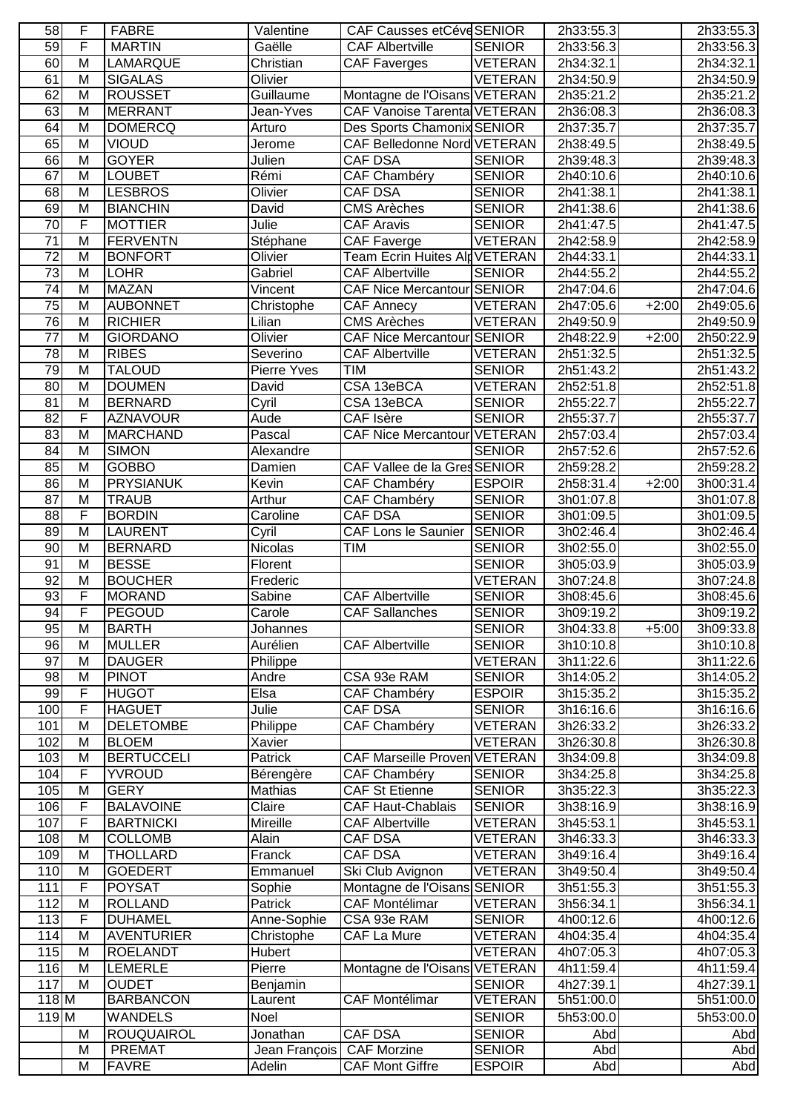| 58               | F              | <b>FABRE</b>                    | Valentine                 | CAF Causses etCéve SENIOR            |                                | 2h33:55.3              |         | 2h33:55.3              |
|------------------|----------------|---------------------------------|---------------------------|--------------------------------------|--------------------------------|------------------------|---------|------------------------|
| 59               | F              | <b>MARTIN</b>                   | Gaëlle                    | <b>CAF Albertville</b>               | <b>SENIOR</b>                  | 2h33:56.3              |         | 2h33:56.3              |
| 60               | M              | <b>LAMARQUE</b>                 | Christian                 | CAF Faverges                         | <b>VETERAN</b>                 | 2h34:32.1              |         | 2h34:32.1              |
| 61               | M              | <b>SIGALAS</b>                  | Olivier                   |                                      | <b>VETERAN</b>                 | 2h34:50.9              |         | 2h34:50.9              |
| 62               | M              | <b>ROUSSET</b>                  | Guillaume                 | Montagne de l'Oisans VETERAN         |                                | 2h35:21.2              |         | 2h35:21.2              |
| 63               | M              | <b>MERRANT</b>                  | Jean-Yves                 | <b>CAF Vanoise Tarental VETERAN</b>  |                                | 2h36:08.3              |         | 2h36:08.3              |
| 64               | M              | <b>DOMERCQ</b>                  | Arturo                    | Des Sports Chamonix SENIOR           |                                | 2h37:35.7              |         | 2h37:35.7              |
| 65               | M              | <b>VIOUD</b>                    | Jerome                    | CAF Belledonne Nord VETERAN          |                                | 2h38:49.5              |         | 2h38:49.5              |
| 66               | M              | <b>GOYER</b>                    | Julien                    | CAF DSA                              | <b>SENIOR</b>                  | 2h39:48.3              |         | 2h39:48.3              |
| 67               | M              | <b>LOUBET</b>                   | Rémi                      | CAF Chambéry                         | <b>SENIOR</b>                  | 2h40:10.6              |         | 2h40:10.6              |
| 68               | M              | <b>LESBROS</b>                  | Olivier                   | CAF DSA                              | <b>SENIOR</b>                  | 2h41:38.1              |         | 2h41:38.1              |
| 69               | M              | <b>BIANCHIN</b>                 | David                     | <b>CMS Arèches</b>                   | <b>SENIOR</b>                  | 2h41:38.6              |         | 2h41:38.6              |
| $\overline{70}$  | F              | <b>MOTTIER</b>                  | Julie                     | <b>CAF Aravis</b>                    | <b>SENIOR</b>                  | 2h41:47.5              |         | 2h41:47.5              |
| 71               | M              | <b>FERVENTN</b>                 | Stéphane                  | <b>CAF Faverge</b>                   | <b>VETERAN</b>                 | 2h42:58.9              |         | 2h42:58.9              |
| $\overline{72}$  | $\overline{M}$ | <b>BONFORT</b>                  | Olivier                   | <b>Team Ecrin Huites Alg VETERAN</b> |                                | 2h44:33.1              |         | 2h44:33.1              |
| $\overline{73}$  | M              | <b>LOHR</b>                     | Gabriel                   | <b>CAF Albertville</b>               | <b>SENIOR</b>                  | 2h44:55.2              |         | 2h44:55.2              |
| 74               | M              | <b>MAZAN</b>                    | Vincent                   | CAF Nice Mercantour SENIOR           |                                | 2h47:04.6              |         | 2h47:04.6              |
| $\overline{75}$  | M              | <b>AUBONNET</b>                 | Christophe                | <b>CAF Annecy</b>                    | <b>VETERAN</b>                 | 2h47:05.6              | $+2:00$ | 2h49:05.6              |
| 76               | M              | <b>RICHIER</b>                  | Lilian                    | <b>CMS Arèches</b>                   | <b>VETERAN</b>                 | 2h49:50.9              |         | 2h49:50.9              |
| 77               | M              | <b>GIORDANO</b>                 | Olivier                   | CAF Nice Mercantour SENIOR           |                                | 2h48:22.9              | $+2:00$ | 2h50:22.9              |
| $\overline{78}$  | $\overline{M}$ | <b>RIBES</b>                    | Severino                  | <b>CAF Albertville</b>               | <b>VETERAN</b>                 | 2h51:32.5              |         | 2h51:32.5              |
| 79               | M              | <b>TALOUD</b>                   | Pierre Yves               | <b>TIM</b>                           | <b>SENIOR</b>                  | 2h51:43.2              |         | 2h51:43.2              |
| 80               | M              | <b>DOUMEN</b>                   | David                     | CSA 13eBCA                           | <b>VETERAN</b>                 | 2h52:51.8              |         | 2h52:51.8              |
| 81               | M              | <b>BERNARD</b>                  | Cyril                     | CSA 13eBCA                           | <b>SENIOR</b>                  | 2h55:22.7              |         | 2h55:22.7              |
| $\overline{82}$  | F              | <b>AZNAVOUR</b>                 | Aude                      | CAF Isère                            | <b>SENIOR</b>                  | 2h55:37.7              |         | 2h55:37.7              |
| 83               | M              | <b>MARCHAND</b>                 | Pascal                    | CAF Nice Mercantour VETERAN          |                                | 2h57:03.4              |         | 2h57:03.4              |
| $\overline{84}$  | M              | <b>SIMON</b>                    | Alexandre                 |                                      | <b>SENIOR</b>                  | 2h57:52.6              |         | 2h57:52.6              |
| 85               | M              | <b>GOBBO</b>                    | Damien                    | CAF Vallee de la GresSENIOR          |                                | 2h59:28.2              |         | 2h59:28.2              |
| 86               | M              | <b>PRYSIANUK</b>                | Kevin                     | <b>CAF Chambéry</b>                  | <b>ESPOIR</b>                  | 2h58:31.4              | $+2:00$ | 3h00:31.4              |
| $\overline{87}$  | M<br>F         | <b>TRAUB</b>                    | Arthur                    | CAF Chambéry<br>CAF DSA              | <b>SENIOR</b>                  | 3h01:07.8              |         | 3h01:07.8              |
| 88<br>89         | M              | <b>BORDIN</b><br><b>LAURENT</b> | Caroline                  | CAF Lons le Saunier                  | <b>SENIOR</b><br><b>SENIOR</b> | 3h01:09.5<br>3h02:46.4 |         | 3h01:09.5              |
| $\overline{90}$  | M              | <b>BERNARD</b>                  | Cyril<br>Nicolas          | TIM                                  | <b>SENIOR</b>                  | 3h02:55.0              |         | 3h02:46.4<br>3h02:55.0 |
| 91               | M              | <b>BESSE</b>                    | Florent                   |                                      | <b>SENIOR</b>                  | 3h05:03.9              |         | 3h05:03.9              |
| 92               | M              | <b>BOUCHER</b>                  | Frederic                  |                                      | <b>VETERAN</b>                 | 3h07:24.8              |         | 3h07:24.8              |
| $\overline{93}$  | F              | <b>MORAND</b>                   | Sabine                    | <b>CAF Albertville</b>               | <b>SENIOR</b>                  | 3h08:45.6              |         | 3h08:45.6              |
| 94               | F              | PEGOUD                          | Carole                    | <b>CAF Sallanches</b>                | <b>SENIOR</b>                  | 3h09:19.2              |         | 3h09:19.2              |
| 95               | M              | <b>BARTH</b>                    | Johannes                  |                                      | <b>SENIOR</b>                  | 3h04:33.8              | $+5:00$ | 3h09:33.8              |
| 96               | M              | <b>MULLER</b>                   | Aurélien                  | <b>CAF Albertville</b>               | <b>SENIOR</b>                  | 3h10:10.8              |         | 3h10:10.8              |
| 97               | M              | <b>DAUGER</b>                   | Philippe                  |                                      | <b>VETERAN</b>                 | 3h11:22.6              |         | 3h11:22.6              |
| $\overline{98}$  | M              | <b>PINOT</b>                    | Andre                     | CSA 93e RAM                          | <b>SENIOR</b>                  | 3h14:05.2              |         | 3h14:05.2              |
| 99               | F              | <b>HUGOT</b>                    | Elsa                      | <b>CAF Chambéry</b>                  | <b>ESPOIR</b>                  | 3h15:35.2              |         | 3h15:35.2              |
| 100              | F              | <b>HAGUET</b>                   | Julie                     | CAF DSA                              | <b>SENIOR</b>                  | 3h16:16.6              |         | 3h16:16.6              |
| 101              | M              | <b>DELETOMBE</b>                | Philippe                  | CAF Chambéry                         | <b>VETERAN</b>                 | 3h26:33.2              |         | 3h26:33.2              |
| 102              | M              | <b>BLOEM</b>                    | Xavier                    |                                      | <b>VETERAN</b>                 | 3h26:30.8              |         | 3h26:30.8              |
| 103              | M              | <b>BERTUCCELI</b>               | Patrick                   | <b>CAF Marseille Proven VETERAN</b>  |                                | 3h34:09.8              |         | 3h34:09.8              |
| 104              | F              | <b>YVROUD</b>                   | Bérengère                 | <b>CAF Chambéry</b>                  | <b>SENIOR</b>                  | 3h34:25.8              |         | 3h34:25.8              |
| 105              | M              | <b>GERY</b>                     | Mathias                   | <b>CAF St Etienne</b>                | <b>SENIOR</b>                  | 3h35:22.3              |         | 3h35:22.3              |
| 106              | F              | <b>BALAVOINE</b>                | Claire                    | <b>CAF Haut-Chablais</b>             | <b>SENIOR</b>                  | 3h38:16.9              |         | 3h38:16.9              |
| 107              | F              | <b>BARTNICKI</b>                | Mireille                  | <b>CAF Albertville</b>               | <b>VETERAN</b>                 | 3h45:53.1              |         | 3h45:53.1              |
| 108              | M              | <b>COLLOMB</b>                  | Alain                     | CAF DSA                              | <b>VETERAN</b>                 | 3h46:33.3              |         | 3h46:33.3              |
| 109              | M              | <b>THOLLARD</b>                 | Franck                    | CAF DSA                              | <b>VETERAN</b>                 | 3h49:16.4              |         | 3h49:16.4              |
| 110              | M              | <b>GOEDERT</b>                  | Emmanuel                  | Ski Club Avignon                     | <b>VETERAN</b>                 | 3h49:50.4              |         | 3h49:50.4              |
| 111              | F              | <b>POYSAT</b>                   | Sophie                    | Montagne de l'Oisans SENIOR          |                                | 3h51:55.3              |         | 3h51:55.3              |
| $\overline{112}$ | M              | <b>ROLLAND</b>                  | Patrick                   | <b>CAF Montélimar</b>                | <b>VETERAN</b>                 | 3h56:34.1              |         | 3h56:34.1              |
| 113              | F              | <b>DUHAMEL</b>                  | Anne-Sophie               | CSA 93e RAM                          | <b>SENIOR</b>                  | 4h00:12.6              |         | 4h00:12.6              |
| 114              | M              | <b>AVENTURIER</b>               | Christophe                | <b>CAF La Mure</b>                   | <b>VETERAN</b>                 | 4h04:35.4              |         | 4h04:35.4              |
| 115              | M              | <b>ROELANDT</b>                 | Hubert                    |                                      | <b>VETERAN</b>                 | 4h07:05.3              |         | 4h07:05.3              |
| 116              | M              | <b>LEMERLE</b>                  | Pierre                    | Montagne de l'Oisans VETERAN         |                                | 4h11:59.4              |         | 4h11:59.4              |
| 117              | M              | <b>OUDET</b>                    | Benjamin                  |                                      | <b>SENIOR</b>                  | 4h27:39.1              |         | 4h27:39.1              |
| $118$ M          |                | <b>BARBANCON</b>                | Laurent                   | <b>CAF Montélimar</b>                | VETERAN                        | 5h51:00.0              |         | 5h51:00.0              |
| 119 <sub>M</sub> |                | <b>WANDELS</b>                  | Noel                      |                                      | <b>SENIOR</b>                  | 5h53:00.0              |         | 5h53:00.0              |
|                  | M              | <b>ROUQUAIROL</b>               | Jonathan                  | <b>CAF DSA</b>                       | <b>SENIOR</b>                  | Abd                    |         | Abd                    |
|                  | M              | <b>PREMAT</b>                   | Jean François CAF Morzine |                                      | <b>SENIOR</b>                  | Abd                    |         | Abd                    |
|                  | M              | <b>FAVRE</b>                    | Adelin                    | <b>CAF Mont Giffre</b>               | <b>ESPOIR</b>                  | Abd                    |         | Abd                    |